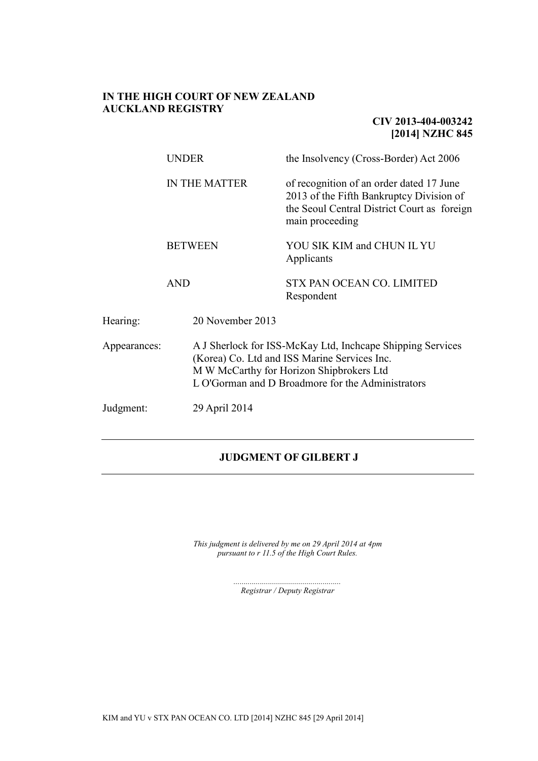### **IN THE HIGH COURT OF NEW ZEALAND AUCKLAND REGISTRY**

## **CIV 2013-404-003242 [2014] NZHC 845**

|              | <b>UNDER</b>         | the Insolvency (Cross-Border) Act 2006                                                                                                                                                                      |  |
|--------------|----------------------|-------------------------------------------------------------------------------------------------------------------------------------------------------------------------------------------------------------|--|
|              | <b>IN THE MATTER</b> | of recognition of an order dated 17 June<br>2013 of the Fifth Bankruptcy Division of<br>the Seoul Central District Court as foreign<br>main proceeding                                                      |  |
|              | <b>BETWEEN</b>       | YOU SIK KIM and CHUN IL YU<br>Applicants                                                                                                                                                                    |  |
|              | <b>AND</b>           | <b>STX PAN OCEAN CO. LIMITED</b><br>Respondent                                                                                                                                                              |  |
| Hearing:     | 20 November 2013     |                                                                                                                                                                                                             |  |
| Appearances: |                      | A J Sherlock for ISS-McKay Ltd, Incheape Shipping Services<br>(Korea) Co. Ltd and ISS Marine Services Inc.<br>M W McCarthy for Horizon Shipbrokers Ltd<br>L O'Gorman and D Broadmore for the Administrators |  |
| Judgment:    | 29 April 2014        |                                                                                                                                                                                                             |  |

## **JUDGMENT OF GILBERT J**

*This judgment is delivered by me on 29 April 2014 at 4pm pursuant to r 11.5 of the High Court Rules.*

> *..................................................... Registrar / Deputy Registrar*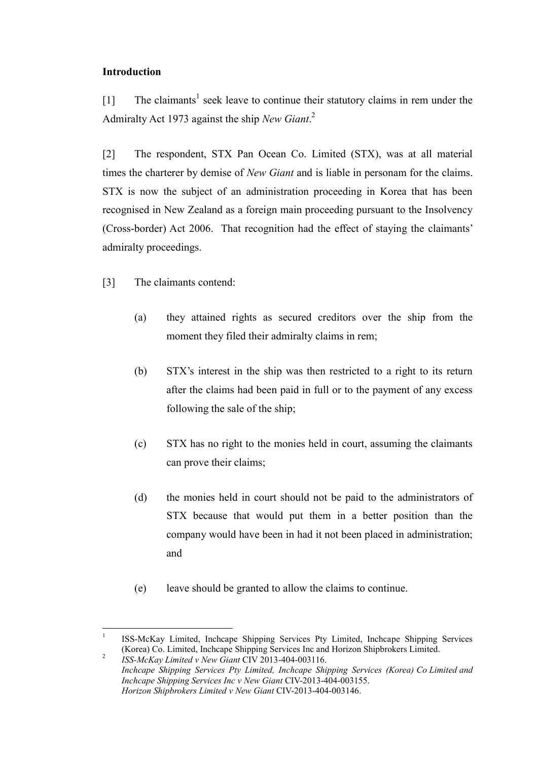## **Introduction**

[1] The claimants<sup>1</sup> seek leave to continue their statutory claims in rem under the Admiralty Act 1973 against the ship *New Giant*. 2

[2] The respondent, STX Pan Ocean Co. Limited (STX), was at all material times the charterer by demise of *New Giant* and is liable in personam for the claims. STX is now the subject of an administration proceeding in Korea that has been recognised in New Zealand as a foreign main proceeding pursuant to the Insolvency (Cross-border) Act 2006. That recognition had the effect of staying the claimants' admiralty proceedings.

[3] The claimants contend:

- (a) they attained rights as secured creditors over the ship from the moment they filed their admiralty claims in rem;
- (b) STX's interest in the ship was then restricted to a right to its return after the claims had been paid in full or to the payment of any excess following the sale of the ship;
- (c) STX has no right to the monies held in court, assuming the claimants can prove their claims;
- (d) the monies held in court should not be paid to the administrators of STX because that would put them in a better position than the company would have been in had it not been placed in administration; and
- (e) leave should be granted to allow the claims to continue.

<sup>1</sup> ISS-McKay Limited, Inchcape Shipping Services Pty Limited, Inchcape Shipping Services (Korea) Co. Limited, Inchcape Shipping Services Inc and Horizon Shipbrokers Limited. 2

*ISS-McKay Limited v New Giant* CIV 2013-404-003116. *Inchcape Shipping Services Pty Limited, Inchcape Shipping Services (Korea) Co Limited and Inchcape Shipping Services Inc v New Giant* CIV-2013-404-003155. *Horizon Shipbrokers Limited v New Giant* CIV-2013-404-003146.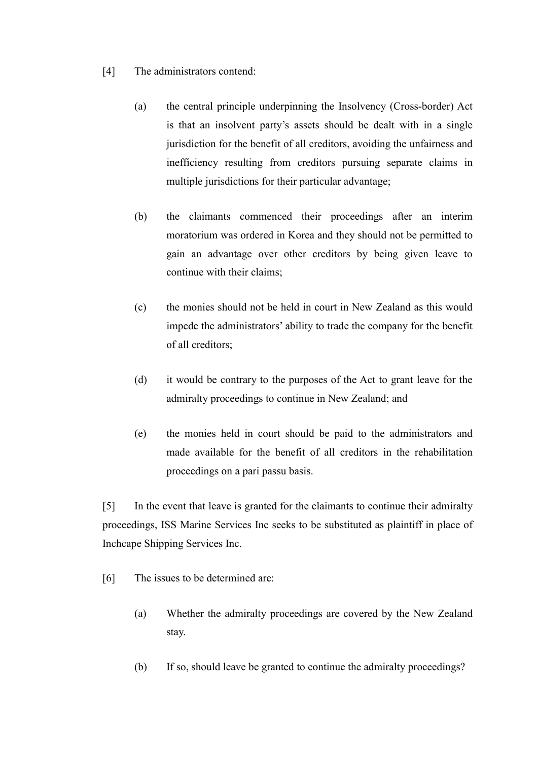- [4] The administrators contend:
	- (a) the central principle underpinning the Insolvency (Cross-border) Act is that an insolvent party's assets should be dealt with in a single jurisdiction for the benefit of all creditors, avoiding the unfairness and inefficiency resulting from creditors pursuing separate claims in multiple jurisdictions for their particular advantage;
	- (b) the claimants commenced their proceedings after an interim moratorium was ordered in Korea and they should not be permitted to gain an advantage over other creditors by being given leave to continue with their claims;
	- (c) the monies should not be held in court in New Zealand as this would impede the administrators' ability to trade the company for the benefit of all creditors;
	- (d) it would be contrary to the purposes of the Act to grant leave for the admiralty proceedings to continue in New Zealand; and
	- (e) the monies held in court should be paid to the administrators and made available for the benefit of all creditors in the rehabilitation proceedings on a pari passu basis.

[5] In the event that leave is granted for the claimants to continue their admiralty proceedings, ISS Marine Services Inc seeks to be substituted as plaintiff in place of Inchcape Shipping Services Inc.

- [6] The issues to be determined are:
	- (a) Whether the admiralty proceedings are covered by the New Zealand stay.
	- (b) If so, should leave be granted to continue the admiralty proceedings?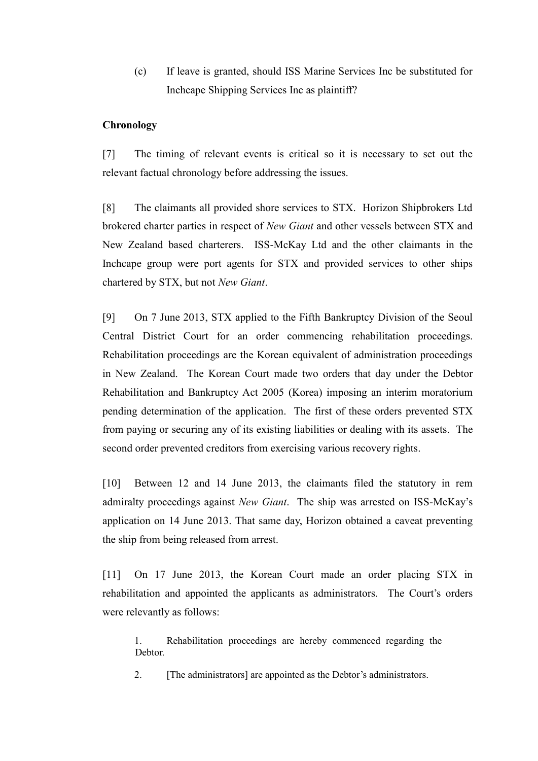(c) If leave is granted, should ISS Marine Services Inc be substituted for Inchcape Shipping Services Inc as plaintiff?

## **Chronology**

[7] The timing of relevant events is critical so it is necessary to set out the relevant factual chronology before addressing the issues.

[8] The claimants all provided shore services to STX. Horizon Shipbrokers Ltd brokered charter parties in respect of *New Giant* and other vessels between STX and New Zealand based charterers. ISS-McKay Ltd and the other claimants in the Inchcape group were port agents for STX and provided services to other ships chartered by STX, but not *New Giant*.

[9] On 7 June 2013, STX applied to the Fifth Bankruptcy Division of the Seoul Central District Court for an order commencing rehabilitation proceedings. Rehabilitation proceedings are the Korean equivalent of administration proceedings in New Zealand. The Korean Court made two orders that day under the Debtor Rehabilitation and Bankruptcy Act 2005 (Korea) imposing an interim moratorium pending determination of the application. The first of these orders prevented STX from paying or securing any of its existing liabilities or dealing with its assets. The second order prevented creditors from exercising various recovery rights.

[10] Between 12 and 14 June 2013, the claimants filed the statutory in rem admiralty proceedings against *New Giant*. The ship was arrested on ISS-McKay's application on 14 June 2013. That same day, Horizon obtained a caveat preventing the ship from being released from arrest.

<span id="page-3-0"></span>[11] On 17 June 2013, the Korean Court made an order placing STX in rehabilitation and appointed the applicants as administrators. The Court's orders were relevantly as follows:

1. Rehabilitation proceedings are hereby commenced regarding the Debtor.

2. [The administrators] are appointed as the Debtor's administrators.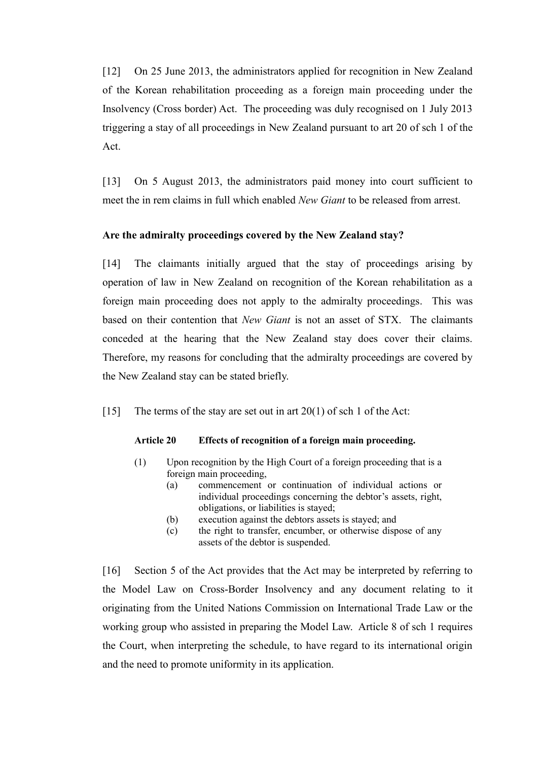[12] On 25 June 2013, the administrators applied for recognition in New Zealand of the Korean rehabilitation proceeding as a foreign main proceeding under the Insolvency (Cross border) Act. The proceeding was duly recognised on 1 July 2013 triggering a stay of all proceedings in New Zealand pursuant to art 20 of sch 1 of the Act.

[13] On 5 August 2013, the administrators paid money into court sufficient to meet the in rem claims in full which enabled *New Giant* to be released from arrest.

# **Are the admiralty proceedings covered by the New Zealand stay?**

[14] The claimants initially argued that the stay of proceedings arising by operation of law in New Zealand on recognition of the Korean rehabilitation as a foreign main proceeding does not apply to the admiralty proceedings. This was based on their contention that *New Giant* is not an asset of STX. The claimants conceded at the hearing that the New Zealand stay does cover their claims. Therefore, my reasons for concluding that the admiralty proceedings are covered by the New Zealand stay can be stated briefly.

[15] The terms of the stay are set out in art  $20(1)$  of sch 1 of the Act:

## **Article 20 Effects of recognition of a foreign main proceeding.**

- (1) Upon recognition by the High Court of a foreign proceeding that is a foreign main proceeding,
	- (a) commencement or continuation of individual actions or individual proceedings concerning the debtor's assets, right, obligations, or liabilities is stayed;
	- (b) execution against the debtors assets is stayed; and
	- (c) the right to transfer, encumber, or otherwise dispose of any assets of the debtor is suspended.

[16] Section 5 of the Act provides that the Act may be interpreted by referring to the Model Law on Cross-Border Insolvency and any document relating to it originating from the United Nations Commission on International Trade Law or the working group who assisted in preparing the Model Law. Article 8 of sch 1 requires the Court, when interpreting the schedule, to have regard to its international origin and the need to promote uniformity in its application.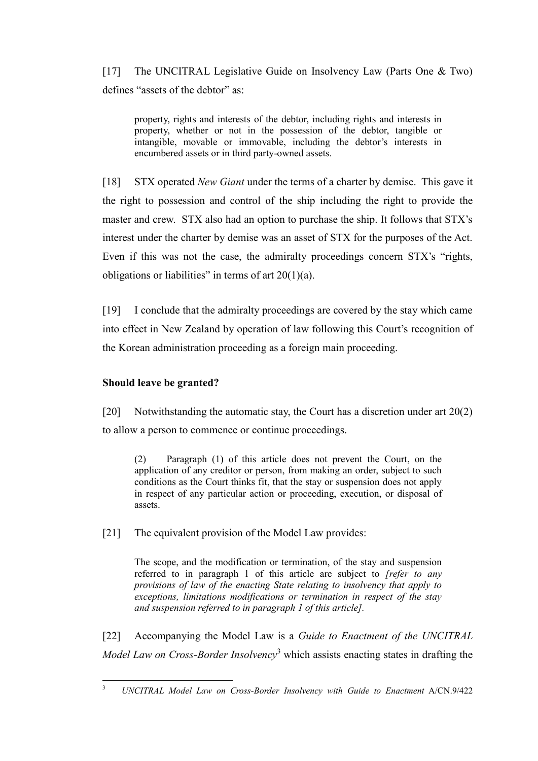[17] The UNCITRAL Legislative Guide on Insolvency Law (Parts One & Two) defines "assets of the debtor" as:

property, rights and interests of the debtor, including rights and interests in property, whether or not in the possession of the debtor, tangible or intangible, movable or immovable, including the debtor's interests in encumbered assets or in third party-owned assets.

[18] STX operated *New Giant* under the terms of a charter by demise. This gave it the right to possession and control of the ship including the right to provide the master and crew. STX also had an option to purchase the ship. It follows that STX's interest under the charter by demise was an asset of STX for the purposes of the Act. Even if this was not the case, the admiralty proceedings concern STX's "rights, obligations or liabilities" in terms of art  $20(1)(a)$ .

[19] I conclude that the admiralty proceedings are covered by the stay which came into effect in New Zealand by operation of law following this Court's recognition of the Korean administration proceeding as a foreign main proceeding.

## **Should leave be granted?**

[20] Notwithstanding the automatic stay, the Court has a discretion under art 20(2) to allow a person to commence or continue proceedings.

(2) Paragraph (1) of this article does not prevent the Court, on the application of any creditor or person, from making an order, subject to such conditions as the Court thinks fit, that the stay or suspension does not apply in respect of any particular action or proceeding, execution, or disposal of assets.

[21] The equivalent provision of the Model Law provides:

The scope, and the modification or termination, of the stay and suspension referred to in paragraph 1 of this article are subject to *[refer to any provisions of law of the enacting State relating to insolvency that apply to exceptions, limitations modifications or termination in respect of the stay and suspension referred to in paragraph 1 of this article].*

[22] Accompanying the Model Law is a *Guide to Enactment of the UNCITRAL Model Law on Cross-Border Insolvency*<sup>3</sup> which assists enacting states in drafting the

 $\overline{\mathbf{3}}$ <sup>3</sup> *UNCITRAL Model Law on Cross-Border Insolvency with Guide to Enactment* A/CN.9/422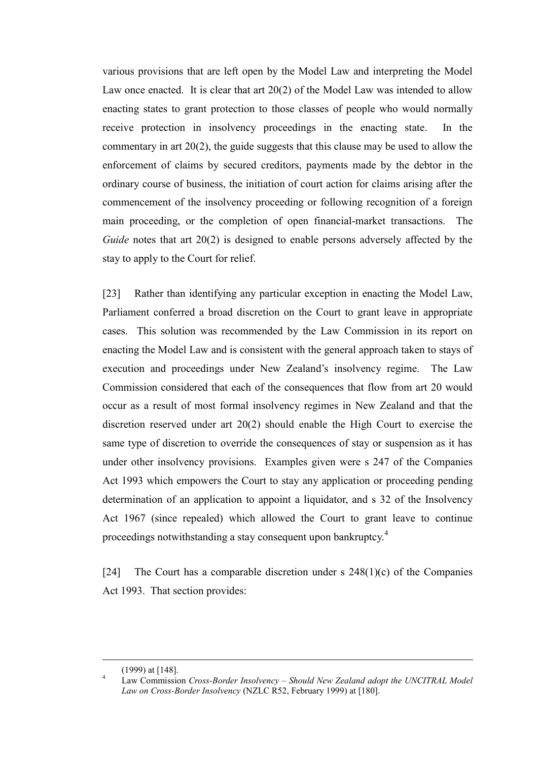various provisions that are left open by the Model Law and interpreting the Model Law once enacted. It is clear that art 20(2) of the Model Law was intended to allow enacting states to grant protection to those classes of people who would normally receive protection in insolvency proceedings in the enacting state. In the commentary in art 20(2), the guide suggests that this clause may be used to allow the enforcement of claims by secured creditors, payments made by the debtor in the ordinary course of business, the initiation of court action for claims arising after the commencement of the insolvency proceeding or following recognition of a foreign main proceeding, or the completion of open financial-market transactions. The *Guide* notes that art 20(2) is designed to enable persons adversely affected by the stay to apply to the Court for relief.

[23] Rather than identifying any particular exception in enacting the Model Law, Parliament conferred a broad discretion on the Court to grant leave in appropriate cases. This solution was recommended by the Law Commission in its report on enacting the Model Law and is consistent with the general approach taken to stays of execution and proceedings under New Zealand's insolvency regime. The Law Commission considered that each of the consequences that flow from art 20 would occur as a result of most formal insolvency regimes in New Zealand and that the discretion reserved under art 20(2) should enable the High Court to exercise the same type of discretion to override the consequences of stay or suspension as it has under other insolvency provisions. Examples given were s 247 of the Companies Act 1993 which empowers the Court to stay any application or proceeding pending determination of an application to appoint a liquidator, and s 32 of the Insolvency Act 1967 (since repealed) which allowed the Court to grant leave to continue proceedings notwithstanding a stay consequent upon bankruptcy.<sup>4</sup>

[24] The Court has a comparable discretion under s  $248(1)(c)$  of the Companies Act 1993. That section provides:

<sup>(1999)</sup> at [148].

<sup>4</sup> Law Commission *Cross-Border Insolvency – Should New Zealand adopt the UNCITRAL Model Law on Cross-Border Insolvency* (NZLC R52, February 1999) at [180].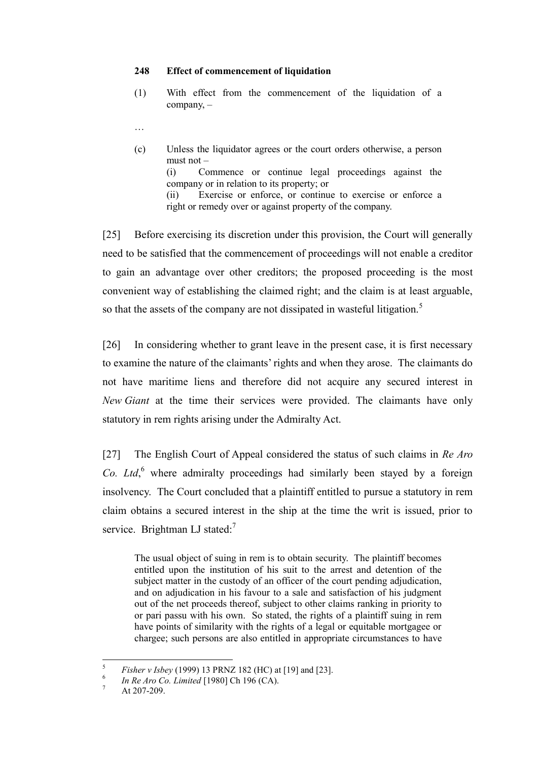#### **248 Effect of commencement of liquidation**

- (1) With effect from the commencement of the liquidation of a company, –
- …
- (c) Unless the liquidator agrees or the court orders otherwise, a person must not – (i) Commence or continue legal proceedings against the company or in relation to its property; or (ii) Exercise or enforce, or continue to exercise or enforce a right or remedy over or against property of the company.

[25] Before exercising its discretion under this provision, the Court will generally need to be satisfied that the commencement of proceedings will not enable a creditor to gain an advantage over other creditors; the proposed proceeding is the most convenient way of establishing the claimed right; and the claim is at least arguable, so that the assets of the company are not dissipated in wasteful litigation.<sup>5</sup>

[26] In considering whether to grant leave in the present case, it is first necessary to examine the nature of the claimants' rights and when they arose. The claimants do not have maritime liens and therefore did not acquire any secured interest in *New Giant* at the time their services were provided. The claimants have only statutory in rem rights arising under the Admiralty Act.

[27] The English Court of Appeal considered the status of such claims in *Re Aro*  Co. Ltd,<sup>6</sup> where admiralty proceedings had similarly been stayed by a foreign insolvency. The Court concluded that a plaintiff entitled to pursue a statutory in rem claim obtains a secured interest in the ship at the time the writ is issued, prior to service. Brightman LJ stated: $<sup>7</sup>$ </sup>

The usual object of suing in rem is to obtain security. The plaintiff becomes entitled upon the institution of his suit to the arrest and detention of the subject matter in the custody of an officer of the court pending adjudication, and on adjudication in his favour to a sale and satisfaction of his judgment out of the net proceeds thereof, subject to other claims ranking in priority to or pari passu with his own. So stated, the rights of a plaintiff suing in rem have points of similarity with the rights of a legal or equitable mortgagee or chargee; such persons are also entitled in appropriate circumstances to have

<sup>5</sup> *Fisher v Isbey* (1999) 13 PRNZ 182 (HC) at [19] and [23].

<sup>6</sup> *In Re Aro Co. Limited* [1980] Ch 196 (CA).

 $^7$  At 207-209.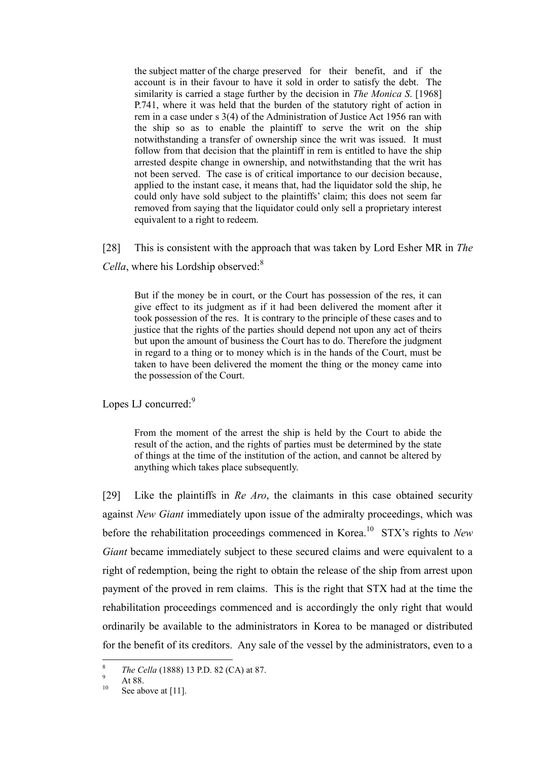the subject matter of the charge preserved for their benefit, and if the account is in their favour to have it sold in order to satisfy the debt. The similarity is carried a stage further by the decision in *The Monica S*. [1968] P.741, where it was held that the burden of the statutory right of action in rem in a case under s 3(4) of the Administration of Justice Act 1956 ran with the ship so as to enable the plaintiff to serve the writ on the ship notwithstanding a transfer of ownership since the writ was issued. It must follow from that decision that the plaintiff in rem is entitled to have the ship arrested despite change in ownership, and notwithstanding that the writ has not been served. The case is of critical importance to our decision because, applied to the instant case, it means that, had the liquidator sold the ship, he could only have sold subject to the plaintiffs' claim; this does not seem far removed from saying that the liquidator could only sell a proprietary interest equivalent to a right to redeem.

[28] This is consistent with the approach that was taken by Lord Esher MR in *The Cella*, where his Lordship observed:<sup>8</sup>

But if the money be in court, or the Court has possession of the res, it can give effect to its judgment as if it had been delivered the moment after it took possession of the res. It is contrary to the principle of these cases and to justice that the rights of the parties should depend not upon any act of theirs but upon the amount of business the Court has to do. Therefore the judgment in regard to a thing or to money which is in the hands of the Court, must be taken to have been delivered the moment the thing or the money came into the possession of the Court.

Lopes LJ concurred:<sup>9</sup>

From the moment of the arrest the ship is held by the Court to abide the result of the action, and the rights of parties must be determined by the state of things at the time of the institution of the action, and cannot be altered by anything which takes place subsequently.

[29] Like the plaintiffs in *Re Aro*, the claimants in this case obtained security against *New Giant* immediately upon issue of the admiralty proceedings, which was before the rehabilitation proceedings commenced in Korea.<sup>10</sup> STX's rights to *New Giant* became immediately subject to these secured claims and were equivalent to a right of redemption, being the right to obtain the release of the ship from arrest upon payment of the proved in rem claims. This is the right that STX had at the time the rehabilitation proceedings commenced and is accordingly the only right that would ordinarily be available to the administrators in Korea to be managed or distributed for the benefit of its creditors. Any sale of the vessel by the administrators, even to a

<sup>8</sup> *The Cella* (1888) 13 P.D. 82 (CA) at 87.

 $^{9}$  At 88.

See above a[t \[11\].](#page-3-0)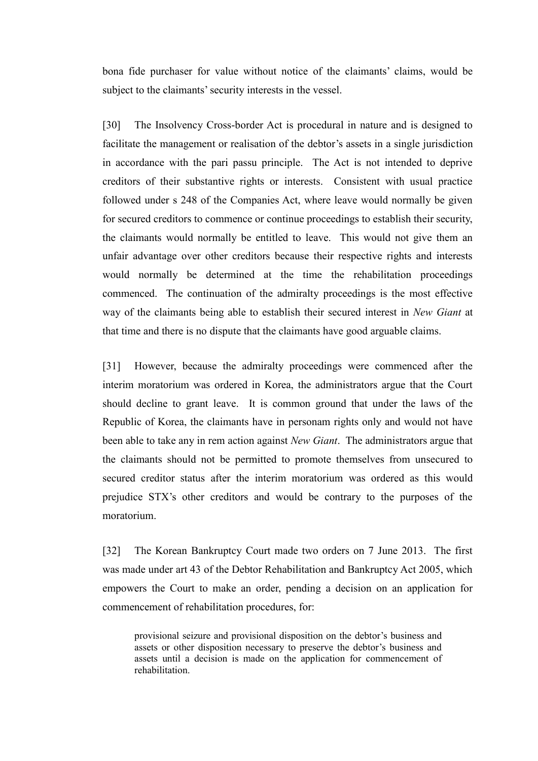bona fide purchaser for value without notice of the claimants' claims, would be subject to the claimants' security interests in the vessel.

[30] The Insolvency Cross-border Act is procedural in nature and is designed to facilitate the management or realisation of the debtor's assets in a single jurisdiction in accordance with the pari passu principle. The Act is not intended to deprive creditors of their substantive rights or interests. Consistent with usual practice followed under s 248 of the Companies Act, where leave would normally be given for secured creditors to commence or continue proceedings to establish their security, the claimants would normally be entitled to leave. This would not give them an unfair advantage over other creditors because their respective rights and interests would normally be determined at the time the rehabilitation proceedings commenced. The continuation of the admiralty proceedings is the most effective way of the claimants being able to establish their secured interest in *New Giant* at that time and there is no dispute that the claimants have good arguable claims.

[31] However, because the admiralty proceedings were commenced after the interim moratorium was ordered in Korea, the administrators argue that the Court should decline to grant leave. It is common ground that under the laws of the Republic of Korea, the claimants have in personam rights only and would not have been able to take any in rem action against *New Giant*. The administrators argue that the claimants should not be permitted to promote themselves from unsecured to secured creditor status after the interim moratorium was ordered as this would prejudice STX's other creditors and would be contrary to the purposes of the moratorium.

[32] The Korean Bankruptcy Court made two orders on 7 June 2013. The first was made under art 43 of the Debtor Rehabilitation and Bankruptcy Act 2005, which empowers the Court to make an order, pending a decision on an application for commencement of rehabilitation procedures, for:

provisional seizure and provisional disposition on the debtor's business and assets or other disposition necessary to preserve the debtor's business and assets until a decision is made on the application for commencement of rehabilitation.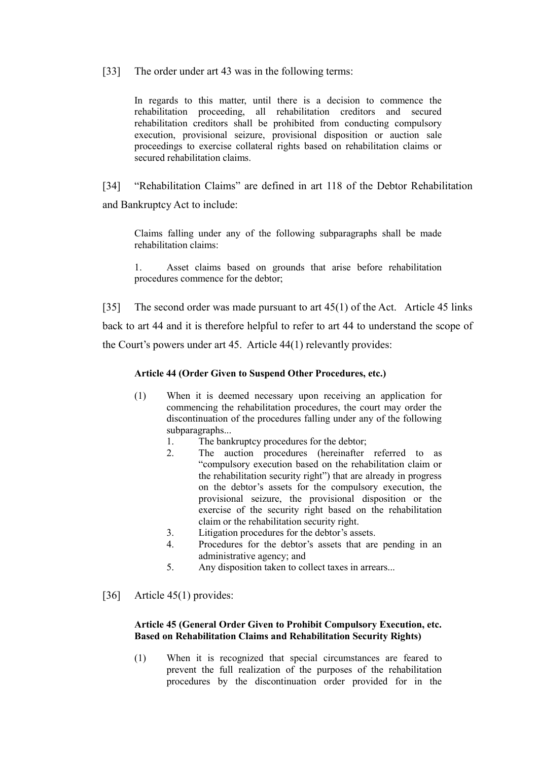[33] The order under art 43 was in the following terms:

In regards to this matter, until there is a decision to commence the rehabilitation proceeding, all rehabilitation creditors and secured rehabilitation creditors shall be prohibited from conducting compulsory execution, provisional seizure, provisional disposition or auction sale proceedings to exercise collateral rights based on rehabilitation claims or secured rehabilitation claims.

[34] "Rehabilitation Claims" are defined in art 118 of the Debtor Rehabilitation and Bankruptcy Act to include:

Claims falling under any of the following subparagraphs shall be made rehabilitation claims:

1. Asset claims based on grounds that arise before rehabilitation procedures commence for the debtor;

[35] The second order was made pursuant to art 45(1) of the Act. Article 45 links back to art 44 and it is therefore helpful to refer to art 44 to understand the scope of the Court's powers under art 45. Article 44(1) relevantly provides:

#### **Article 44 (Order Given to Suspend Other Procedures, etc.)**

- (1) When it is deemed necessary upon receiving an application for commencing the rehabilitation procedures, the court may order the discontinuation of the procedures falling under any of the following subparagraphs...
	- 1. The bankruptcy procedures for the debtor;
	- 2. The auction procedures (hereinafter referred to as "compulsory execution based on the rehabilitation claim or the rehabilitation security right") that are already in progress on the debtor's assets for the compulsory execution, the provisional seizure, the provisional disposition or the exercise of the security right based on the rehabilitation claim or the rehabilitation security right.
	- 3. Litigation procedures for the debtor's assets.
	- 4. Procedures for the debtor's assets that are pending in an administrative agency; and
	- 5. Any disposition taken to collect taxes in arrears...
- [36] Article 45(1) provides:

#### **Article 45 (General Order Given to Prohibit Compulsory Execution, etc. Based on Rehabilitation Claims and Rehabilitation Security Rights)**

(1) When it is recognized that special circumstances are feared to prevent the full realization of the purposes of the rehabilitation procedures by the discontinuation order provided for in the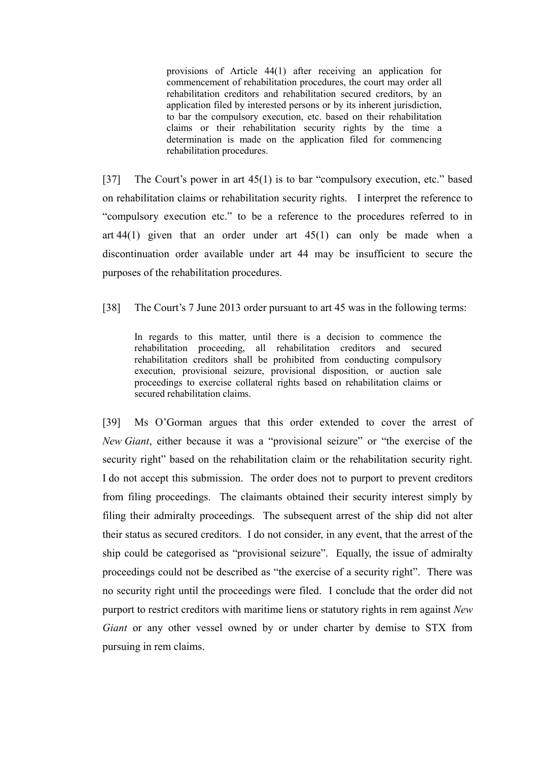provisions of Article 44(1) after receiving an application for commencement of rehabilitation procedures, the court may order all rehabilitation creditors and rehabilitation secured creditors, by an application filed by interested persons or by its inherent jurisdiction, to bar the compulsory execution, etc. based on their rehabilitation claims or their rehabilitation security rights by the time a determination is made on the application filed for commencing rehabilitation procedures.

[37] The Court's power in art 45(1) is to bar "compulsory execution, etc." based on rehabilitation claims or rehabilitation security rights. I interpret the reference to "compulsory execution etc." to be a reference to the procedures referred to in art  $44(1)$  given that an order under art  $45(1)$  can only be made when a discontinuation order available under art 44 may be insufficient to secure the purposes of the rehabilitation procedures.

[38] The Court's 7 June 2013 order pursuant to art 45 was in the following terms:

In regards to this matter, until there is a decision to commence the rehabilitation proceeding, all rehabilitation creditors and secured rehabilitation creditors shall be prohibited from conducting compulsory execution, provisional seizure, provisional disposition, or auction sale proceedings to exercise collateral rights based on rehabilitation claims or secured rehabilitation claims.

[39] Ms O'Gorman argues that this order extended to cover the arrest of *New Giant*, either because it was a "provisional seizure" or "the exercise of the security right" based on the rehabilitation claim or the rehabilitation security right. I do not accept this submission. The order does not to purport to prevent creditors from filing proceedings. The claimants obtained their security interest simply by filing their admiralty proceedings. The subsequent arrest of the ship did not alter their status as secured creditors. I do not consider, in any event, that the arrest of the ship could be categorised as "provisional seizure". Equally, the issue of admiralty proceedings could not be described as "the exercise of a security right". There was no security right until the proceedings were filed. I conclude that the order did not purport to restrict creditors with maritime liens or statutory rights in rem against *New Giant* or any other vessel owned by or under charter by demise to STX from pursuing in rem claims.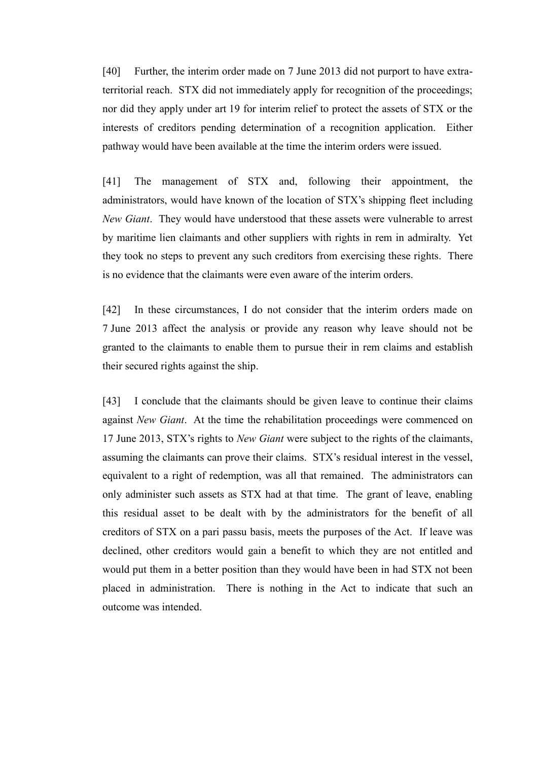[40] Further, the interim order made on 7 June 2013 did not purport to have extraterritorial reach. STX did not immediately apply for recognition of the proceedings; nor did they apply under art 19 for interim relief to protect the assets of STX or the interests of creditors pending determination of a recognition application. Either pathway would have been available at the time the interim orders were issued.

[41] The management of STX and, following their appointment, the administrators, would have known of the location of STX's shipping fleet including *New Giant*. They would have understood that these assets were vulnerable to arrest by maritime lien claimants and other suppliers with rights in rem in admiralty. Yet they took no steps to prevent any such creditors from exercising these rights. There is no evidence that the claimants were even aware of the interim orders.

[42] In these circumstances, I do not consider that the interim orders made on 7 June 2013 affect the analysis or provide any reason why leave should not be granted to the claimants to enable them to pursue their in rem claims and establish their secured rights against the ship.

[43] I conclude that the claimants should be given leave to continue their claims against *New Giant*. At the time the rehabilitation proceedings were commenced on 17 June 2013, STX's rights to *New Giant* were subject to the rights of the claimants, assuming the claimants can prove their claims. STX's residual interest in the vessel, equivalent to a right of redemption, was all that remained. The administrators can only administer such assets as STX had at that time. The grant of leave, enabling this residual asset to be dealt with by the administrators for the benefit of all creditors of STX on a pari passu basis, meets the purposes of the Act. If leave was declined, other creditors would gain a benefit to which they are not entitled and would put them in a better position than they would have been in had STX not been placed in administration. There is nothing in the Act to indicate that such an outcome was intended.